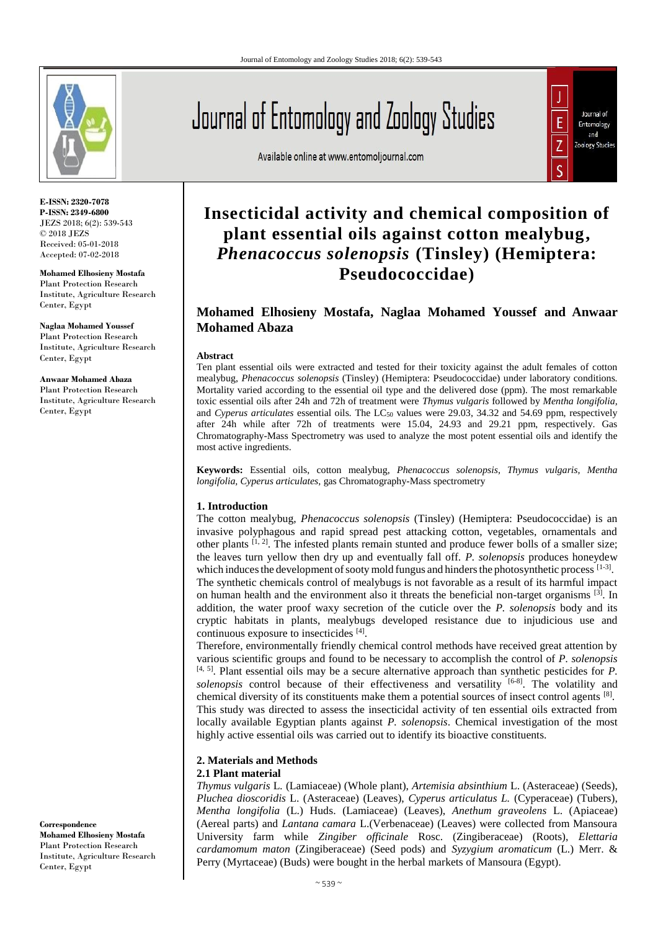

**E-ISSN: 2320-7078 P-ISSN: 2349-6800** JEZS 2018; 6(2): 539-543 © 2018 JEZS Received: 05-01-2018 Accepted: 07-02-2018

**Mohamed Elhosieny Mostafa** Plant Protection Research Institute, Agriculture Research Center, Egypt

**Naglaa Mohamed Youssef** Plant Protection Research Institute, Agriculture Research Center, Egypt

**Anwaar Mohamed Abaza** Plant Protection Research Institute, Agriculture Research Center, Egypt

**Correspondence Mohamed Elhosieny Mostafa** Plant Protection Research Institute, Agriculture Research Center, Egypt

# Journal of Entomology and Zoology Studies

Available online at www.entomoljournal.com



Journal of

Entomalogy and Zoology Studies

Ë

# **Mohamed Elhosieny Mostafa, Naglaa Mohamed Youssef and Anwaar Mohamed Abaza**

#### **Abstract**

Ten plant essential oils were extracted and tested for their toxicity against the adult females of cotton mealybug, *Phenacoccus solenopsis* (Tinsley) (Hemiptera: Pseudococcidae) under laboratory conditions. Mortality varied according to the essential oil type and the delivered dose (ppm). The most remarkable toxic essential oils after 24h and 72h of treatment were *Thymus vulgaris* followed by *Mentha longifolia,*  and *Cyperus articulates* essential oils. The LC<sub>50</sub> values were 29.03, 34.32 and 54.69 ppm, respectively after 24h while after 72h of treatments were 15.04, 24.93 and 29.21 ppm, respectively. Gas Chromatography-Mass Spectrometry was used to analyze the most potent essential oils and identify the most active ingredients.

**Keywords:** Essential oils, cotton mealybug, *Phenacoccus solenopsis, Thymus vulgaris, Mentha longifolia, Cyperus articulates,* gas Chromatography-Mass spectrometry

### **1. Introduction**

The cotton mealybug, *Phenacoccus solenopsis* (Tinsley) (Hemiptera: Pseudococcidae) is an invasive polyphagous and rapid spread pest attacking cotton, vegetables, ornamentals and other plants  $[1, 2]$ . The infested plants remain stunted and produce fewer bolls of a smaller size; the leaves turn yellow then dry up and eventually fall off. *P. solenopsis* produces honeydew which induces the development of sooty mold fungus and hinders the photosynthetic process  $[1-3]$ .

The synthetic chemicals control of mealybugs is not favorable as a result of its harmful impact on human health and the environment also it threats the beneficial non-target organisms  $[3]$ . In addition, the water proof waxy secretion of the cuticle over the *P. solenopsis* body and its cryptic habitats in plants, mealybugs developed resistance due to injudicious use and continuous exposure to insecticides [4].

Therefore, environmentally friendly chemical control methods have received great attention by various scientific groups and found to be necessary to accomplish the control of *P. solenopsis*  [4, 5]. Plant essential oils may be a secure alternative approach than synthetic pesticides for *P.*  solenopsis control because of their effectiveness and versatility <sup>[6-8]</sup>. The volatility and chemical diversity of its constituents make them a potential sources of insect control agents  $^{[8]}$ . This study was directed to assess the insecticidal activity of ten essential oils extracted from locally available Egyptian plants against *P. solenopsis*. Chemical investigation of the most highly active essential oils was carried out to identify its bioactive constituents.

# **2. Materials and Methods**

#### **2.1 Plant material**

*Thymus vulgaris* L*.* (Lamiaceae) (Whole plant), *Artemisia absinthium* L. (Asteraceae) (Seeds), *Pluchea dioscoridis* L. (Asteraceae) (Leaves), *Cyperus articulatus L.* (Cyperaceae) (Tubers), *Mentha longifolia* (L.) Huds. (Lamiaceae) (Leaves), *Anethum graveolens* L. (Apiaceae) (Aereal parts) and *Lantana camara* L.(Verbenaceae) (Leaves) were collected from Mansoura University farm while *Zingiber officinale* Rosc. (Zingiberaceae) (Roots), *Elettaria cardamomum maton* (Zingiberaceae) (Seed pods) and *Syzygium aromaticum* (L.) Merr. & Perry (Myrtaceae) (Buds) were bought in the herbal markets of Mansoura (Egypt).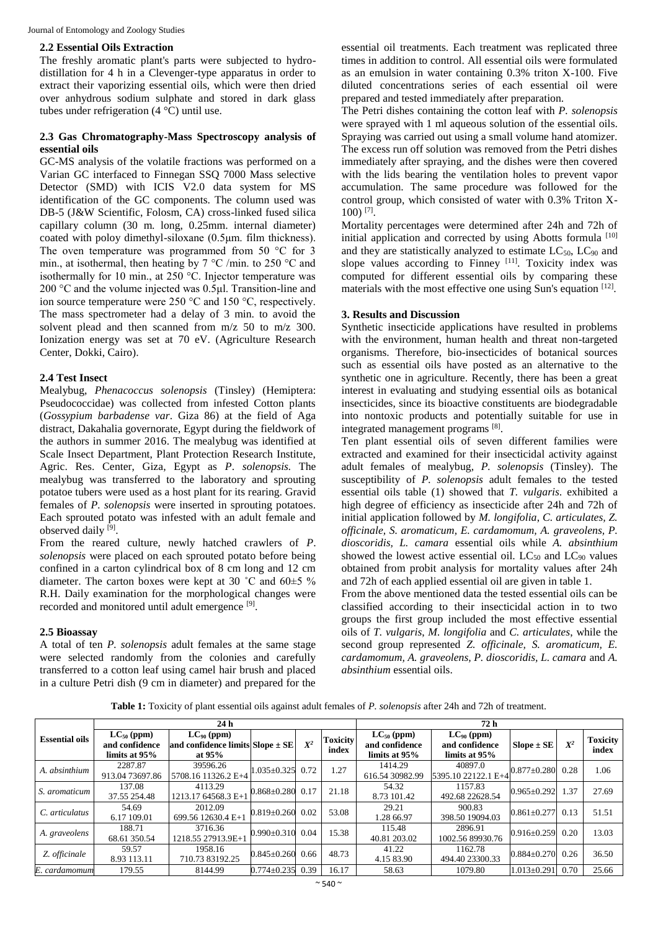Journal of Entomology and Zoology Studies

#### **2.2 Essential Oils Extraction**

The freshly aromatic plant's parts were subjected to hydrodistillation for 4 h in a Clevenger-type apparatus in order to extract their vaporizing essential oils, which were then dried over anhydrous sodium sulphate and stored in dark glass tubes under refrigeration  $(4 \degree C)$  until use.

# **2.3 Gas Chromatography-Mass Spectroscopy analysis of essential oils**

GC-MS analysis of the volatile fractions was performed on a Varian GC interfaced to Finnegan SSQ 7000 Mass selective Detector (SMD) with ICIS V2.0 data system for MS identification of the GC components. The column used was DB-5 (J&W Scientific, Folosm, CA) cross-linked fused silica capillary column (30 m. long, 0.25mm. internal diameter) coated with poloy dimethyl-siloxane (0.5μm. film thickness). The oven temperature was programmed from 50 °C for 3 min., at isothermal, then heating by 7 °С /min. to 250 °С and isothermally for 10 min., at 250 °С. Injector temperature was 200 °С and the volume injected was 0.5μl. Transition-line and ion source temperature were 250 °С and 150 °С, respectively. The mass spectrometer had a delay of 3 min. to avoid the solvent plead and then scanned from m/z 50 to m/z 300. Ionization energy was set at 70 eV. (Agriculture Research Center, Dokki, Cairo).

# **2.4 Test Insect**

Mealybug, *Phenacoccus solenopsis* (Tinsley) (Hemiptera: Pseudococcidae) was collected from infested Cotton plants (*Gossypium barbadense var*. Giza 86) at the field of Aga distract, Dakahalia governorate, Egypt during the fieldwork of the authors in summer 2016. The mealybug was identified at Scale Insect Department, Plant Protection Research Institute, Agric. Res. Center, Giza, Egypt as *P*. *solenopsis.* The mealybug was transferred to the laboratory and sprouting potatoe tubers were used as a host plant for its rearing. Gravid females of *P. solenopsis* were inserted in sprouting potatoes. Each sprouted potato was infested with an adult female and observed daily [9].

From the reared culture, newly hatched crawlers of *P*. *solenopsis* were placed on each sprouted potato before being confined in a carton cylindrical box of 8 cm long and 12 cm diameter. The carton boxes were kept at 30 °C and 60 $\pm$ 5 % R.H. Daily examination for the morphological changes were recorded and monitored until adult emergence [9].

# **2.5 Bioassay**

A total of ten *P. solenopsis* adult females at the same stage were selected randomly from the colonies and carefully transferred to a cotton leaf using camel hair brush and placed in a culture Petri dish (9 cm in diameter) and prepared for the

essential oil treatments. Each treatment was replicated three times in addition to control. All essential oils were formulated as an emulsion in water containing 0.3% triton X-100. Five diluted concentrations series of each essential oil were prepared and tested immediately after preparation.

The Petri dishes containing the cotton leaf with *P. solenopsis*  were sprayed with 1 ml aqueous solution of the essential oils. Spraying was carried out using a small volume hand atomizer. The excess run off solution was removed from the Petri dishes immediately after spraying, and the dishes were then covered with the lids bearing the ventilation holes to prevent vapor accumulation. The same procedure was followed for the control group, which consisted of water with 0.3% Triton X-100) [7] .

Mortality percentages were determined after 24h and 72h of initial application and corrected by using Abotts formula<sup>[10]</sup> and they are statistically analyzed to estimate  $LC_{50}$ ,  $LC_{90}$  and slope values according to Finney  $[11]$ . Toxicity index was computed for different essential oils by comparing these materials with the most effective one using Sun's equation [12].

# **3. Results and Discussion**

Synthetic insecticide applications have resulted in problems with the environment, human health and threat non-targeted organisms. Therefore, bio-insecticides of botanical sources such as essential oils have posted as an alternative to the synthetic one in agriculture. Recently, there has been a great interest in evaluating and studying essential oils as botanical insecticides, since its bioactive constituents are biodegradable into nontoxic products and potentially suitable for use in integrated management programs<sup>[8]</sup>.

Ten plant essential oils of seven different families were extracted and examined for their insecticidal activity against adult females of mealybug, *P. solenopsis* (Tinsley). The susceptibility of *P. solenopsis* adult females to the tested essential oils table (1) showed that *T. vulgaris*. exhibited a high degree of efficiency as insecticide after 24h and 72h of initial application followed by *M. longifolia*, *C. articulates, Z. officinale, S. aromaticum, E. cardamomum, A. graveolens, P. dioscoridis, L. camara* essential oils while *A. absinthium* showed the lowest active essential oil.  $LC_{50}$  and  $LC_{90}$  values obtained from probit analysis for mortality values after 24h and 72h of each applied essential oil are given in table 1.

From the above mentioned data the tested essential oils can be classified according to their insecticidal action in to two groups the first group included the most effective essential oils of *T. vulgaris*, *M. longifolia* and *C. articulates*, while the second group represented *Z. officinale, S. aromaticum, E. cardamomum, A. graveolens, P. dioscoridis, L. camara* and *A. absinthium* essential oils.

**Table 1:** Toxicity of plant essential oils against adult females of *P. solenopsis* after 24h and 72h of treatment.

|                       |                                                       | 24 h                                                                | 72 h              |       |                          |                                                    |                                                    |                        |       |                          |
|-----------------------|-------------------------------------------------------|---------------------------------------------------------------------|-------------------|-------|--------------------------|----------------------------------------------------|----------------------------------------------------|------------------------|-------|--------------------------|
| <b>Essential oils</b> | $LC_{50}$ (ppm)<br>and confidence<br>limits at $95\%$ | $LC_{90}$ (ppm)<br>and confidence limits $Slope \pm SE$<br>at $95%$ |                   | $X^2$ | <b>Toxicity</b><br>index | $LC_{50}$ (ppm)<br>and confidence<br>limits at 95% | $LC_{90}$ (ppm)<br>and confidence<br>limits at 95% | $Slope \pm SE$         | $X^2$ | <b>Toxicity</b><br>index |
| A. absinthium         | 2287.87<br>913.04 73697.86                            | 39596.26<br>5708.16 11326.2 E+4                                     | $1.035 \pm 0.325$ | 0.72  | 1.27                     | 1414.29<br>616.54 30982.99                         | 40897.0<br>5395.10 22122.1 E+4                     | $0.877 \pm 0.280$ 0.28 |       | 1.06                     |
| S. aromaticum         | 137.08<br>37.55 254.48                                | 4113.29<br>1213.17 64568.3 E+1                                      | $0.868 + 0.280$   | 0.17  | 21.18                    | 54.32<br>8.73 101.42                               | 1157.83<br>492.68 22628.54                         | $0.965 \pm 0.292$      | .37   | 27.69                    |
| C. articulatus        | 54.69<br>6.17 109.01                                  | 2012.09<br>699.56 12630.4 E+1                                       | $0.819 \pm 0.260$ | 0.02  | 53.08                    | 29.21<br>1.28 66.97                                | 900.83<br>398.50 19094.03                          | $0.861 \pm 0.277$ 0.13 |       | 51.51                    |
| A. graveolens         | 188.71<br>68.61 350.54                                | 3716.36<br>1218.55 27913.9E+1                                       | $0.990 \pm 0.310$ | 0.04  | 15.38                    | 115.48<br>40.81 203.02                             | 2896.91<br>1002.56 89930.76                        | $0.916 \pm 0.259$      | 0.20  | 13.03                    |
| Z. officinale         | 59.57<br>8.93 113.11                                  | 1958.16<br>710.73 83192.25                                          | $0.845 \pm 0.260$ | 0.66  | 48.73                    | 41.22<br>4.15 83.90                                | 1162.78<br>494.40 23300.33                         | $0.884 \pm 0.270$ 0.26 |       | 36.50                    |
| E. cardamomum         | 179.55                                                | 8144.99                                                             | $0.774 \pm 0.235$ | 0.39  | 16.17                    | 58.63                                              | 1079.80                                            | $1.013 \pm 0.291$      | 0.70  | 25.66                    |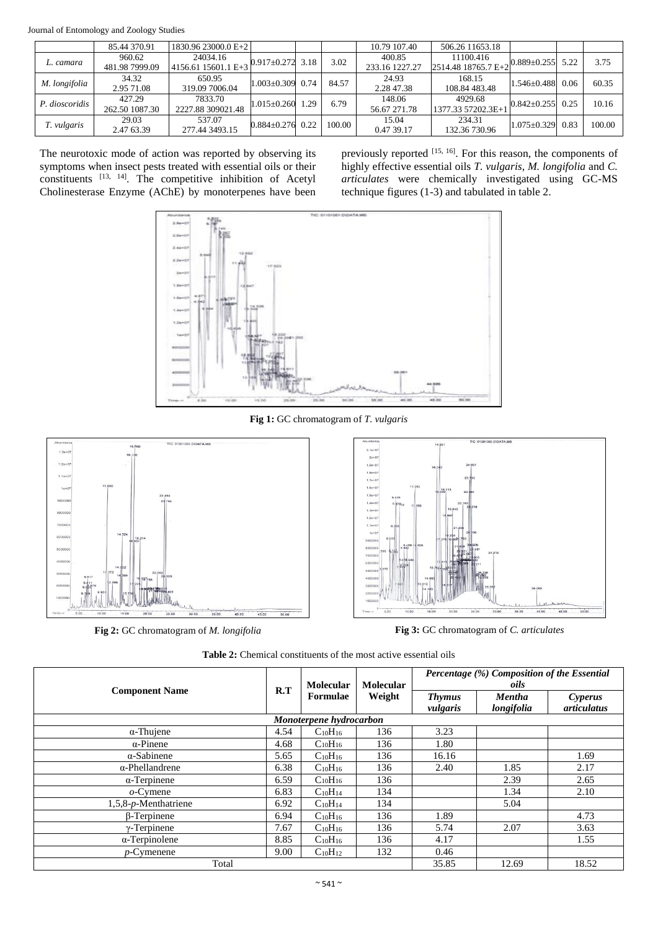|                | 85.44 370.91   | $1830.9623000.0 E+2$ |                        |     |        | 10.79 107.40   | 506.26 11653.18     |                          |        |
|----------------|----------------|----------------------|------------------------|-----|--------|----------------|---------------------|--------------------------|--------|
| L. camara      | 960.62         | 24034.16             | $0.917 \pm 0.272$ 3.18 |     | 3.02   | 400.85         | 11100.416           | $ 0.889 \pm 0.255 $ 5.22 | 3.75   |
|                | 481.98 7999.09 | 4156.61 15601.1 E+3  |                        |     |        | 233.16 1227.27 | 2514.48 18765.7 E+2 |                          |        |
| M. longifolia  | 34.32          | 650.95               | $1.003 \pm 0.309$ 0.74 |     | 84.57  | 24.93          | 168.15              | $1.546 \pm 0.488$ 0.06   | 60.35  |
|                | 2.95 71.08     | 319.09 7006.04       |                        |     |        | 2.28 47.38     | 108.84 483.48       |                          |        |
| P. dioscoridis | 427.29         | 7833.70              | $1.015 \pm 0.260$      | .29 | 6.79   | 148.06         | 4929.68             | $0.842 \pm 0.255$ 0.25   | 10.16  |
|                | 262.50 1087.30 | 2227.88 309021.48    |                        |     |        | 56.67 271.78   | 1377.33 57202.3E+1  |                          |        |
| T. vulgaris    | 29.03          | 537.07               |                        |     | 100.00 | 15.04          | 234.31              |                          | 100.00 |
|                | 2.47 63.39     | 277.44 3493.15       | $0.884 \pm 0.276$ 0.22 |     |        | 0.47 39.17     | 132.36 730.96       | $1.075 \pm 0.329$ 0.83   |        |

The neurotoxic mode of action was reported by observing its symptoms when insect pests treated with essential oils or their constituents  $^{[13, 14]}$ . The competitive inhibition of Acetyl Cholinesterase Enzyme (AChE) by monoterpenes have been

previously reported [15, 16]. For this reason, the components of highly effective essential oils *T. vulgaris*, *M. longifolia* and *C. articulates* were chemically investigated using GC-MS technique figures (1-3) and tabulated in table 2.



**Fig 1:** GC chromatogram of *T. vulgaris*



**Fig 2:** GC chromatogram of *M. longifolia* **Fig 3:** GC chromatogram of *C. articulates*



|                         |      | Molecular<br>Formulae   | <b>Molecular</b><br>Weight | Percentage (%) Composition of the Essential<br>oils |                             |                               |  |
|-------------------------|------|-------------------------|----------------------------|-----------------------------------------------------|-----------------------------|-------------------------------|--|
| <b>Component Name</b>   | R.T  |                         |                            | <b>Thymus</b><br>vulgaris                           | <b>Mentha</b><br>longifolia | Cyperus<br><i>articulatus</i> |  |
|                         |      | Monoterpene hydrocarbon |                            |                                                     |                             |                               |  |
| $\alpha$ -Thujene       | 4.54 | $C_{10}H_{16}$          | 136                        | 3.23                                                |                             |                               |  |
| $\alpha$ -Pinene        | 4.68 | $C_{10}H_{16}$          | 136                        | 1.80                                                |                             |                               |  |
| $\alpha$ -Sabinene      | 5.65 | $C_{10}H_{16}$          | 136                        | 16.16                                               |                             | 1.69                          |  |
| $\alpha$ -Phellandrene  | 6.38 | $C_{10}H_{16}$          | 136                        | 2.40                                                | 1.85                        | 2.17                          |  |
| $\alpha$ -Terpinene     | 6.59 | $C_{10}H_{16}$          | 136                        |                                                     | 2.39                        | 2.65                          |  |
| $o$ -Cymene             | 6.83 | $C_{10}H_{14}$          | 134                        |                                                     | 1.34                        | 2.10                          |  |
| $1,5,8-p$ -Menthatriene | 6.92 | $C_{10}H_{14}$          | 134                        |                                                     | 5.04                        |                               |  |
| $\beta$ -Terpinene      | 6.94 | $C_{10}H_{16}$          | 136                        | 1.89                                                |                             | 4.73                          |  |
| $\gamma$ -Terpinene     | 7.67 | $C_{10}H_{16}$          | 136                        | 5.74                                                | 2.07                        | 3.63                          |  |
| $\alpha$ -Terpinolene   | 8.85 | $C_{10}H_{16}$          | 136                        | 4.17                                                |                             | 1.55                          |  |
| $p$ -Cymenene           | 9.00 | $C_{10}H_{12}$          | 132                        | 0.46                                                |                             |                               |  |
| Total                   |      |                         |                            | 35.85                                               | 12.69                       | 18.52                         |  |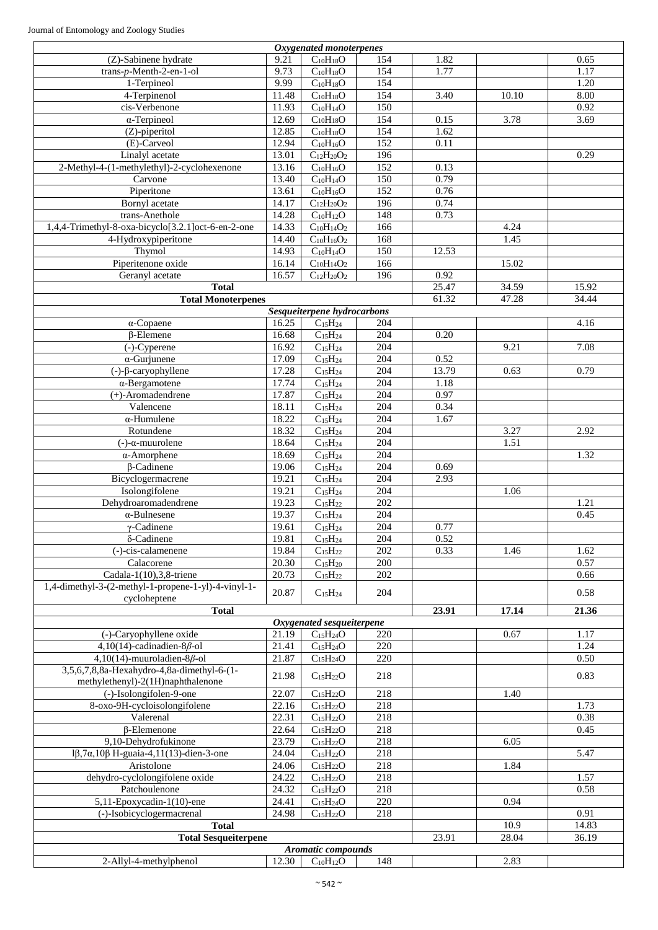| Oxygenated monoterpenes                                         |                    |                                  |            |       |       |       |  |  |  |
|-----------------------------------------------------------------|--------------------|----------------------------------|------------|-------|-------|-------|--|--|--|
| (Z)-Sabinene hydrate                                            | 9.21               | $C_{10}H_{18}O$                  | 154        | 1.82  |       | 0.65  |  |  |  |
| trans-p-Menth-2-en-1-ol                                         | 9.73               | $C_{10}H_{18}O$                  | 154        | 1.77  |       | 1.17  |  |  |  |
| 1-Terpineol                                                     | 9.99               | $C_{10}H_{18}O$                  | 154        |       |       | 1.20  |  |  |  |
| 4-Terpinenol                                                    | 11.48              | $C_{10}H_{18}O$                  | 154        | 3.40  | 10.10 | 8.00  |  |  |  |
| cis-Verbenone                                                   | 11.93              | $C_{10}H_{14}O$                  | 150        |       |       | 0.92  |  |  |  |
| $\alpha$ -Terpineol                                             | 12.69              | $C_{10}H_{18}O$                  | 154        | 0.15  | 3.78  | 3.69  |  |  |  |
| (Z)-piperitol                                                   | 12.85              | $C_{10}H_{18}O$                  | 154        | 1.62  |       |       |  |  |  |
| (E)-Carveol                                                     | 12.94              | $C_{10}H_{16}O$                  | 152        | 0.11  |       |       |  |  |  |
| Linalvl acetate                                                 | 13.01              | $C_{12}H_{20}O_2$                | 196        |       |       | 0.29  |  |  |  |
| 2-Methyl-4-(1-methylethyl)-2-cyclohexenone                      | 13.16              | $C_{10}H_{16}O$                  | 152        | 0.13  |       |       |  |  |  |
| Carvone                                                         | 13.40              | $C_{10}H_{14}O$                  | 150        | 0.79  |       |       |  |  |  |
| Piperitone                                                      | 13.61              | $C_{10}H_{16}O$                  | 152        | 0.76  |       |       |  |  |  |
| Bornyl acetate                                                  | 14.17              | $C_{12}H_{20}O_2$                | 196        | 0.74  |       |       |  |  |  |
| trans-Anethole                                                  | 14.28              | $C_{10}H_{12}O$                  | 148        | 0.73  |       |       |  |  |  |
| 1,4,4-Trimethyl-8-oxa-bicyclo[3.2.1] oct-6-en-2-one             | 14.33              | $C_{10}H_{14}O_2$                | 166        |       | 4.24  |       |  |  |  |
| 4-Hydroxypiperitone                                             | 14.40              | $C_{10}H_{16}O_2$                | 168        |       | 1.45  |       |  |  |  |
| Thymol                                                          | 14.93              | $C_{10}H_{14}O$                  | 150        | 12.53 |       |       |  |  |  |
| Piperitenone oxide                                              | 16.14              | $C_{10}H_{14}O_2$                | 166        |       | 15.02 |       |  |  |  |
| Geranyl acetate                                                 | 16.57              | $C_{12}H_{20}O_2$                | 196        | 0.92  |       |       |  |  |  |
| <b>Total</b>                                                    |                    |                                  |            | 25.47 | 34.59 | 15.92 |  |  |  |
| <b>Total Monoterpenes</b>                                       |                    |                                  |            | 61.32 | 47.28 | 34.44 |  |  |  |
|                                                                 |                    | Sesqueiterpene hydrocarbons      |            |       |       |       |  |  |  |
| $\alpha$ -Copaene                                               | 16.25<br>16.68     | $C_{15}H_{24}$                   | 204<br>204 | 0.20  |       | 4.16  |  |  |  |
| $\beta$ -Elemene                                                | 16.92              | $C_{15}H_{24}$                   | 204        |       | 9.21  | 7.08  |  |  |  |
| $(-)$ -Cyperene                                                 | 17.09              | $C_{15}H_{24}$<br>$C_{15}H_{24}$ | 204        | 0.52  |       |       |  |  |  |
| $\alpha$ -Gurjunene<br>$(-)$ - $\beta$ -caryophyllene           | 17.28              | $C_{15}H_{24}$                   | 204        | 13.79 | 0.63  | 0.79  |  |  |  |
| $\alpha$ -Bergamotene                                           | 17.74              | $C_{15}H_{24}$                   | 204        | 1.18  |       |       |  |  |  |
| (+)-Aromadendrene                                               | 17.87              | $C_{15}H_{24}$                   | 204        | 0.97  |       |       |  |  |  |
| Valencene                                                       | 18.11              | $C_{15}H_{24}$                   | 204        | 0.34  |       |       |  |  |  |
| $\alpha$ -Humulene                                              | 18.22              | $C_{15}H_{24}$                   | 204        | 1.67  |       |       |  |  |  |
| Rotundene                                                       | 18.32              | $C_{15}H_{24}$                   | 204        |       | 3.27  | 2.92  |  |  |  |
| $(-)$ - $\alpha$ -muurolene                                     | 18.64              | $C_{15}H_{24}$                   | 204        |       | 1.51  |       |  |  |  |
| $\alpha$ -Amorphene                                             | 18.69              | $C_{15}H_{24}$                   | 204        |       |       | 1.32  |  |  |  |
| $\beta$ -Cadinene                                               | 19.06              | $C_{15}H_{24}$                   | 204        | 0.69  |       |       |  |  |  |
| Bicyclogermacrene                                               | 19.21              | $C_{15}H_{24}$                   | 204        | 2.93  |       |       |  |  |  |
| Isolongifolene                                                  | 19.21              | $C_{15}H_{24}$                   | 204        |       | 1.06  |       |  |  |  |
| Dehydroaromadendrene                                            | 19.23              | $C_{15}H_{22}$                   | 202        |       |       | 1.21  |  |  |  |
| $\alpha$ -Bulnesene                                             | 19.37              | $C_{15}H_{24}$                   | 204        |       |       | 0.45  |  |  |  |
| $\gamma$ -Cadinene                                              | 19.61              | $C_{15}H_{24}$                   | 204        | 0.77  |       |       |  |  |  |
| δ-Cadinene                                                      | 19.81              | $C_{15}H_{24}$                   | 204        | 0.52  |       |       |  |  |  |
| (-)-cis-calamenene                                              | 19.84              | $C_{15}H_{22}$                   | 202        | 0.33  | 1.46  | 1.62  |  |  |  |
| Calacorene                                                      | 20.30              | $C_{15}H_{20}$                   | 200        |       |       | 0.57  |  |  |  |
| Cadala-1 $(10)$ , 3, 8-triene                                   | 20.73              | $C_{15}H_{22}$                   | 202        |       |       | 0.66  |  |  |  |
| 1,4-dimethyl-3-(2-methyl-1-propene-1-yl)-4-vinyl-1-             |                    |                                  |            |       |       |       |  |  |  |
| cycloheptene                                                    | 20.87              | $C_{15}H_{24}$                   | 204        |       |       | 0.58  |  |  |  |
| <b>Total</b>                                                    |                    |                                  |            | 23.91 | 17.14 | 21.36 |  |  |  |
|                                                                 |                    | Oxygenated sesqueiterpene        |            |       |       |       |  |  |  |
| (-)-Caryophyllene oxide                                         | 21.19              | $C_{15}H_{24}O$                  | 220        |       | 0.67  | 1.17  |  |  |  |
| 4,10(14)-cadinadien-8 $\beta$ -ol                               | 21.41              | $C_{15}H_{24}O$                  | 220        |       |       | 1.24  |  |  |  |
| 4,10(14)-muuroladien-8 $\beta$ -ol                              | 21.87              | $C_{15}H_{24}O$                  | 220        |       |       | 0.50  |  |  |  |
| 3,5,6,7,8,8a-Hexahydro-4,8a-dimethyl-6-(1-                      | 21.98              | $C_{15}H_{22}O$                  | 218        |       |       | 0.83  |  |  |  |
| methylethenyl)-2(1H)naphthalenone                               |                    |                                  |            |       |       |       |  |  |  |
| (-)-Isolongifolen-9-one                                         | 22.07              | $\overline{C_{15}H_{22}O}$       | 218        |       | 1.40  |       |  |  |  |
| 8-oxo-9H-cycloisolongifolene                                    | 22.16              | $C_{15}H_{22}O$                  | 218        |       |       | 1.73  |  |  |  |
| Valerenal                                                       | 22.31              | $C_{15}H_{22}O$                  | 218        |       |       | 0.38  |  |  |  |
| $\beta$ -Elemenone                                              | 22.64              | $C_{15}H_{22}O$                  | 218        |       |       | 0.45  |  |  |  |
| 9,10-Dehydrofukinone                                            | 23.79              | $C_{15}H_{22}O$                  | 218        |       | 6.05  |       |  |  |  |
| $1\beta$ , 7 $\alpha$ , 10 $\beta$ H-guaia-4, 11(13)-dien-3-one | 24.04              | $C_{15}H_{22}O$                  | 218        |       |       | 5.47  |  |  |  |
| Aristolone                                                      | 24.06              | $\overline{C}_{15}H_{22}O$       | 218        |       | 1.84  |       |  |  |  |
| dehydro-cyclolongifolene oxide                                  | 24.22              | $\overline{C}_{15}H_{22}O$       | 218        |       |       | 1.57  |  |  |  |
| Patchoulenone                                                   | 24.32              | $C_{15}H_{22}O$                  | 218        |       |       | 0.58  |  |  |  |
| 5,11-Epoxycadin-1(10)-ene                                       | 24.41              | $C_{15}H_{24}O$                  | 220        |       | 0.94  |       |  |  |  |
| $\overline{(-)}$ -Isobicyclogermacrenal                         | 24.98              | $C_{15}H_{22}O$                  | 218        |       |       | 0.91  |  |  |  |
| <b>Total</b>                                                    |                    | 10.9                             | 14.83      |       |       |       |  |  |  |
| <b>Total Sesqueiterpene</b>                                     |                    |                                  |            | 23.91 | 28.04 | 36.19 |  |  |  |
|                                                                 |                    | Aromatic compounds               |            |       |       |       |  |  |  |
| 2-Allyl-4-methylphenol                                          | $\overline{12.30}$ | $C_{10}H_{12}O$                  | 148        |       | 2.83  |       |  |  |  |